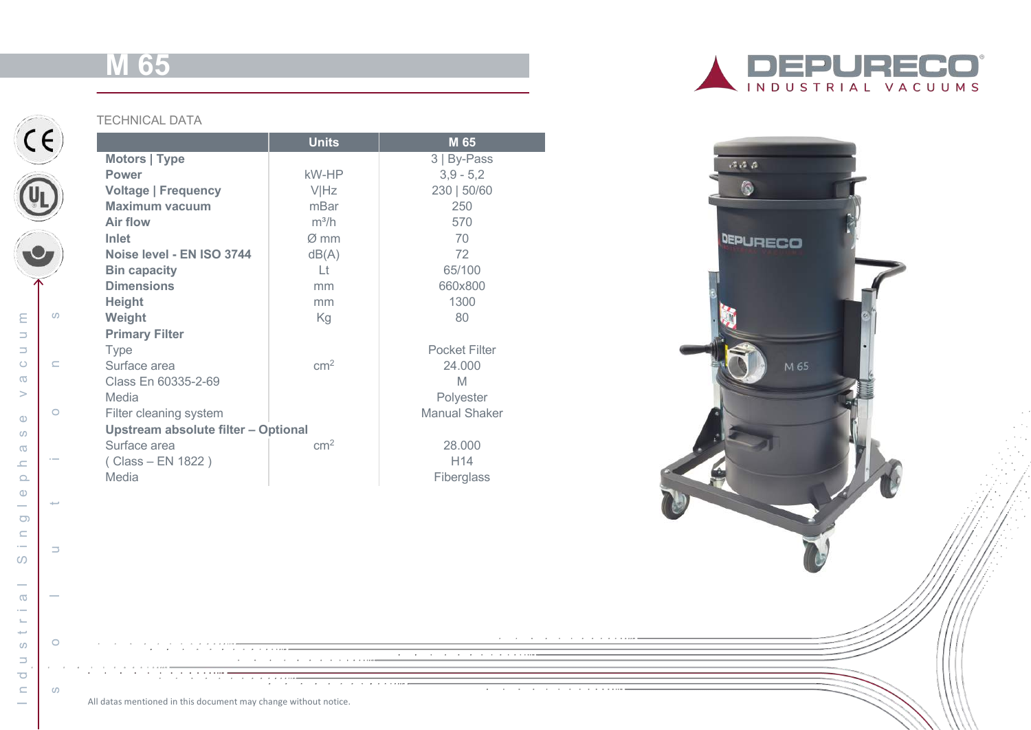# **M 65**



|                                     | <b>Units</b>     | M 65                 |
|-------------------------------------|------------------|----------------------|
| Motors   Type                       |                  | 3   By-Pass          |
| <b>Power</b>                        | kW-HP            | $3,9 - 5,2$          |
| <b>Voltage   Frequency</b>          | <b>VIHz</b>      | 230   50/60          |
| <b>Maximum vacuum</b>               | mBar             | 250                  |
| Air flow                            | $m^3/h$          | 570                  |
| Inlet                               | $\varnothing$ mm | 70                   |
| Noise level - EN ISO 3744           | dB(A)            | 72                   |
| <b>Bin capacity</b>                 | $  +$            | 65/100               |
| <b>Dimensions</b>                   | mm               | 660x800              |
| <b>Height</b>                       | mm               | 1300                 |
| Weight                              | Kg               | 80                   |
| <b>Primary Filter</b>               |                  |                      |
| <b>Type</b>                         |                  | <b>Pocket Filter</b> |
| Surface area                        | cm <sup>2</sup>  | 24.000               |
| Class En 60335-2-69                 |                  | M                    |
| Media                               |                  | Polyester            |
| Filter cleaning system              |                  | <b>Manual Shaker</b> |
| Upstream absolute filter - Optional |                  |                      |
| Surface area                        | $\rm cm^2$       | 28,000               |
| (Class – EN 1822)                   |                  | H <sub>14</sub>      |
| Media                               |                  | Fiberglass           |





and<br>1980 - Carlo Carlo Carlo Carlo Carlo Carlo Carlo Carlo Carlo Carlo Carlo Carlo Carlo Carlo Carlo Carlo Carlo

the contract of the contract of the contract of

and a straight and a straight

All datas mentioned in this document may change without notice.

 $(c)$ 

solutions and the solutions of the solutions of the solutions of the solutions of the solutions of the solutions of the solutions of the solutions of the solutions of the solutions of the solutions of the solutions of the

 $\Rightarrow$ 

 $\circ$ 

 $\alpha$  ,  $\alpha$  ,  $\alpha$ 

 $\omega$ 

 $\sim$ 

**College** 

 $\omega$ 

 $\subset$ 

 $\circ$